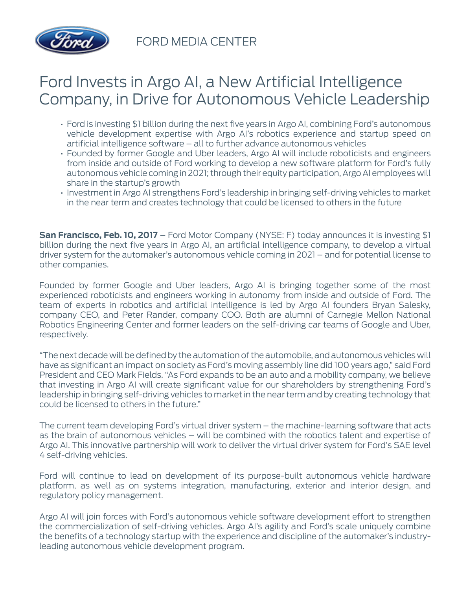

FORD MEDIA CENTER

## Ford Invests in Argo AI, a New Artificial Intelligence Company, in Drive for Autonomous Vehicle Leadership

- Ford is investing \$1 billion during the next five years in Argo AI, combining Ford's autonomous vehicle development expertise with Argo AI's robotics experience and startup speed on artificial intelligence software – all to further advance autonomous vehicles
- Founded by former Google and Uber leaders, Argo AI will include roboticists and engineers from inside and outside of Ford working to develop a new software platform for Ford's fully autonomous vehicle coming in 2021; through their equity participation, Argo AI employees will share in the startup's growth
- Investment in Argo AI strengthens Ford's leadership in bringing self-driving vehicles to market in the near term and creates technology that could be licensed to others in the future

**San Francisco, Feb. 10, 2017** – Ford Motor Company (NYSE: F) today announces it is investing \$1 billion during the next five years in Argo AI, an artificial intelligence company, to develop a virtual driver system for the automaker's autonomous vehicle coming in 2021 – and for potential license to other companies.

Founded by former Google and Uber leaders, Argo AI is bringing together some of the most experienced roboticists and engineers working in autonomy from inside and outside of Ford. The team of experts in robotics and artificial intelligence is led by Argo AI founders Bryan Salesky, company CEO, and Peter Rander, company COO. Both are alumni of Carnegie Mellon National Robotics Engineering Center and former leaders on the self-driving car teams of Google and Uber, respectively.

"The next decade will be defined by the automation of the automobile, and autonomous vehicles will have as significant an impact on society as Ford's moving assembly line did 100 years ago," said Ford President and CEO Mark Fields. "As Ford expands to be an auto and a mobility company, we believe that investing in Argo AI will create significant value for our shareholders by strengthening Ford's leadership in bringing self-driving vehicles to market in the near term and by creating technology that could be licensed to others in the future."

The current team developing Ford's virtual driver system – the machine-learning software that acts as the brain of autonomous vehicles – will be combined with the robotics talent and expertise of Argo AI. This innovative partnership will work to deliver the virtual driver system for Ford's SAE level 4 self-driving vehicles.

Ford will continue to lead on development of its purpose-built autonomous vehicle hardware platform, as well as on systems integration, manufacturing, exterior and interior design, and regulatory policy management.

Argo AI will join forces with Ford's autonomous vehicle software development effort to strengthen the commercialization of self-driving vehicles. Argo AI's agility and Ford's scale uniquely combine the benefits of a technology startup with the experience and discipline of the automaker's industryleading autonomous vehicle development program.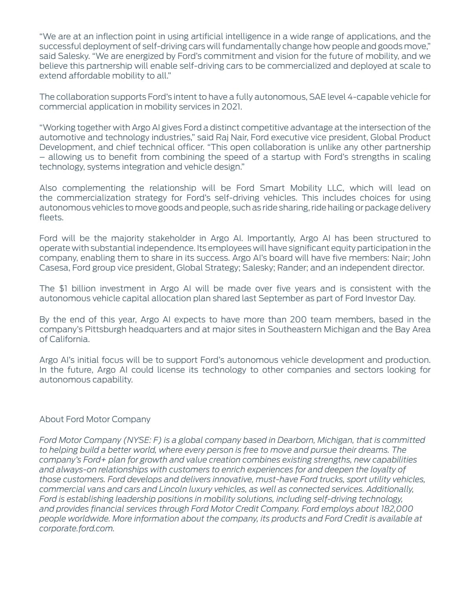"We are at an inflection point in using artificial intelligence in a wide range of applications, and the successful deployment of self-driving cars will fundamentally change how people and goods move," said Salesky. "We are energized by Ford's commitment and vision for the future of mobility, and we believe this partnership will enable self-driving cars to be commercialized and deployed at scale to extend affordable mobility to all."

The collaboration supports Ford's intent to have a fully autonomous, SAE level 4-capable vehicle for commercial application in mobility services in 2021.

"Working together with Argo AI gives Ford a distinct competitive advantage at the intersection of the automotive and technology industries," said Raj Nair, Ford executive vice president, Global Product Development, and chief technical officer. "This open collaboration is unlike any other partnership – allowing us to benefit from combining the speed of a startup with Ford's strengths in scaling technology, systems integration and vehicle design."

Also complementing the relationship will be Ford Smart Mobility LLC, which will lead on the commercialization strategy for Ford's self-driving vehicles. This includes choices for using autonomous vehicles to move goods and people, such as ride sharing, ride hailing or package delivery fleets.

Ford will be the majority stakeholder in Argo AI. Importantly, Argo AI has been structured to operate with substantial independence. Its employees will have significant equity participation in the company, enabling them to share in its success. Argo AI's board will have five members: Nair; John Casesa, Ford group vice president, Global Strategy; Salesky; Rander; and an independent director.

The \$1 billion investment in Argo AI will be made over five years and is consistent with the autonomous vehicle capital allocation plan shared last September as part of Ford Investor Day.

By the end of this year, Argo AI expects to have more than 200 team members, based in the company's Pittsburgh headquarters and at major sites in Southeastern Michigan and the Bay Area of California.

Argo AI's initial focus will be to support Ford's autonomous vehicle development and production. In the future, Argo AI could license its technology to other companies and sectors looking for autonomous capability.

## About Ford Motor Company

*Ford Motor Company (NYSE: F) is a global company based in Dearborn, Michigan, that is committed to helping build a better world, where every person is free to move and pursue their dreams. The company's Ford+ plan for growth and value creation combines existing strengths, new capabilities and always-on relationships with customers to enrich experiences for and deepen the loyalty of those customers. Ford develops and delivers innovative, must-have Ford trucks, sport utility vehicles, commercial vans and cars and Lincoln luxury vehicles, as well as connected services. Additionally, Ford is establishing leadership positions in mobility solutions, including self-driving technology, and provides financial services through Ford Motor Credit Company. Ford employs about 182,000 people worldwide. More information about the company, its products and Ford Credit is available at corporate.ford.com.*